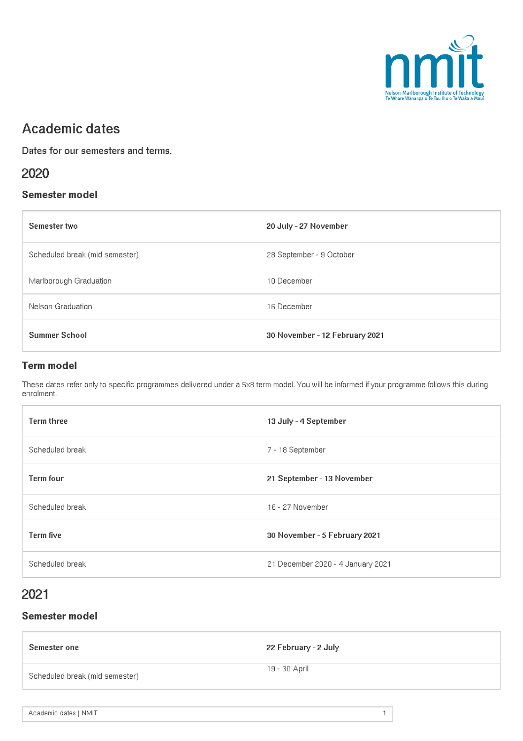

# Academic dates

Dates for our semesters and terms.

### 2020

#### Semester model

| Semester two                   | 20 July - 27 November          |
|--------------------------------|--------------------------------|
| Scheduled break (mid semester) | 28 September - 9 October       |
| Marlborough Graduation         | 10 December                    |
| Nelson Graduation              | 16 December                    |
| <b>Summer School</b>           | 30 November - 12 February 2021 |

#### Term model

These dates refer only to specific programmes delivered under a 5x8 term model. You will be informed if your programme follows this during enrolment.

| <b>Term three</b> | 13 July - 4 September             |
|-------------------|-----------------------------------|
| Scheduled break   | 7 - 18 September                  |
| <b>Term four</b>  | 21 September - 13 November        |
| Scheduled break   | 16 - 27 November                  |
| Term five         | 30 November - 5 February 2021     |
| Scheduled break   | 21 December 2020 - 4 January 2021 |

## 2021

#### Semester model

| Semester one                   | 22 February - 2 July |
|--------------------------------|----------------------|
| Scheduled break (mid semester) | - 19 - 30 April      |
|                                |                      |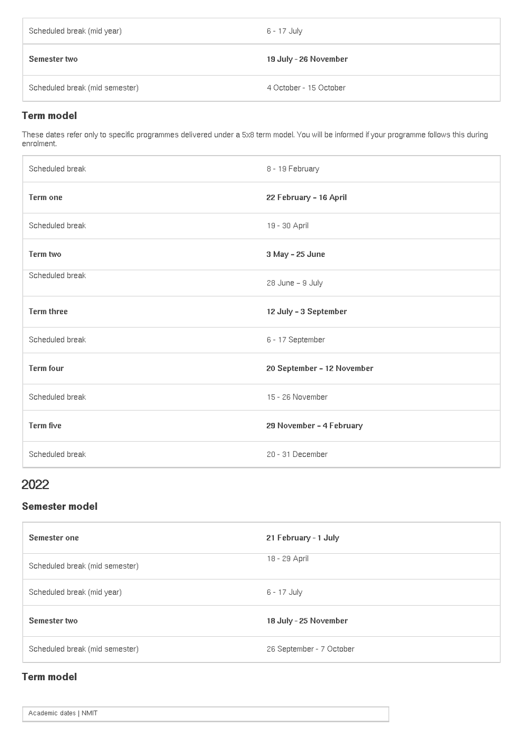| Scheduled break (mid year)     | 6 - 17 July            |
|--------------------------------|------------------------|
| Semester two                   | 19 July - 26 November  |
| Scheduled break (mid semester) | 4 October - 15 October |

#### Term model

These dates refer only to specific programmes delivered under a 5x8 term model. You will be informed if your programme follows this during enrolment.

| Scheduled break   | 8 - 19 February            |
|-------------------|----------------------------|
| Term one          | 22 February - 16 April     |
| Scheduled break   | 19 - 30 April              |
| Term two          | 3 May - 25 June            |
| Scheduled break   | 28 June - 9 July           |
| <b>Term three</b> | 12 July - 3 September      |
| Scheduled break   | 6 - 17 September           |
| <b>Term four</b>  | 20 September - 12 November |
| Scheduled break   | 15 - 26 November           |
| Term five         | 29 November - 4 February   |
| Scheduled break   | 20 - 31 December           |

## 2022

### Semester model

| Semester one                   | 21 February - 1 July     |
|--------------------------------|--------------------------|
| Scheduled break (mid semester) | 18 - 29 April            |
| Scheduled break (mid year)     | 6 - 17 July              |
| Semester two                   | 18 July - 25 November    |
| Scheduled break (mid semester) | 26 September - 7 October |

### Term model

Academic dates | NMIT